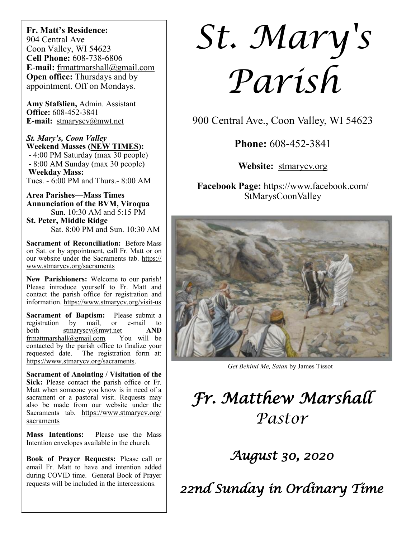**Fr. Matt's Residence:**  904 Central Ave Coon Valley, WI 54623 **Cell Phone:** 608-738-6806 **E-mail:** [frmattmarshall@gmail.com](mailto:frmattmarshall@gmail.com) **Open office:** Thursdays and by appointment. Off on Mondays.

**Amy Stafslien,** Admin. Assistant **Office:** 608-452-3841 **E-mail:** [stmaryscv@mwt.net](mailto:stmaryscv@mwt.net)

*St. Mary's, Coon Valley*  **Weekend Masses (NEW TIMES):** - 4:00 PM Saturday (max 30 people) - 8:00 AM Sunday (max 30 people) **Weekday Mass:**  Tues. - 6:00 PM and Thurs.- 8:00 AM

**Area Parishes—Mass Times Annunciation of the BVM, Viroqua** Sun. 10:30 AM and 5:15 PM **St. Peter, Middle Ridge**

Sat. 8:00 PM and Sun. 10:30 AM

**Sacrament of Reconciliation:** Before Mass on Sat. or by appointment, call Fr. Matt or on our website under the Sacraments tab. [https://](https://www.stmarycv.org/sacraments) [www.stmarycv.org/sacraments](https://www.stmarycv.org/sacraments)

**New Parishioners:** Welcome to our parish! Please introduce yourself to Fr. Matt and contact the parish office for registration and information. <https://www.stmarycv.org/visit-us>

**Sacrament of Baptism:** Please submit a registration by mail, or e-mail to registration by mail, or e-mail to both [stmaryscv@mwt.net](mailto:stmaryscv@mwt.net) **AND** [frmattmarshall@gmail.com](mailto:frmattmarshall@gmail.com)*.* You will be contacted by the parish office to finalize your requested date. The registration form at: <https://www.stmarycv.org/sacraments>.

**Sacrament of Anointing / Visitation of the Sick:** Please contact the parish office or Fr. Matt when someone you know is in need of a sacrament or a pastoral visit. Requests may also be made from our website under the Sacraments tab. [https://www.stmarycv.org/](https://www.stmarycv.org/sacraments) [sacraments](https://www.stmarycv.org/sacraments)

**Mass Intentions:** Please use the Mass Intention envelopes available in the church.

**Book of Prayer Requests:** Please call or email Fr. Matt to have and intention added during COVID time. General Book of Prayer requests will be included in the intercessions.

*St. Mary's Parish* 

900 Central Ave., Coon Valley, WI 54623

**Phone:** 608-452-3841

**Website:** <stmarycv.org>

**Facebook Page:** https://www.facebook.com/ StMarysCoonValley



*Get Behind Me, Satan* by James Tissot

# *Fr. Matthew Marshall Pastor*

*August 30, 2020* 

*22nd Sunday in Ordinary Time*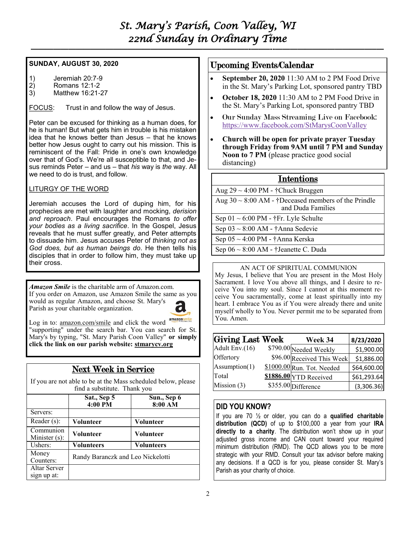**—————————————————————————–———–-——–--—————————————–—**

### **SUNDAY, AUGUST 30, 2020**

- 1) Jeremiah 20:7-9
- 2) Romans 12:1-2
- 3) Matthew 16:21-27

FOCUS: Trust in and follow the way of Jesus.

Peter can be excused for thinking as a human does, for he is human! But what gets him in trouble is his mistaken idea that he knows better than Jesus – that he knows better how Jesus ought to carry out his mission. This is reminiscent of the Fall: Pride in one's own knowledge over that of God's. We're all susceptible to that, and Jesus reminds Peter – and us – that *his* way is *the* way. All we need to do is trust, and follow.

### LITURGY OF THE WORD

Jeremiah accuses the Lord of duping him, for his prophecies are met with laughter and mocking, *derision and reproach*. Paul encourages the Romans *to offer your bodies as a living sacrifice*. In the Gospel, Jesus reveals that he must suffer greatly, and Peter attempts to dissuade him. Jesus accuses Peter of *thinking not as God does, but as human beings do*. He then tells his disciples that in order to follow him, they must take up their cross.

*Amazon Smile* is the charitable arm of Amazon.com. If you order on Amazon, use Amazon Smile the same as you would as regular Amazon, and choose St. Mary's Parish as your charitable organization.



Log in to: [amazon.com/smile](http://amazon.com/smile) and click the word "supporting" under the search bar. You can search for St. Mary's by typing, "St. Mary Parish Coon Valley" **or simply click the link on our parish website:<stmarycv.org>**

### Next Week in Service

If you are not able to be at the Mass scheduled below, please find a substitute. Thank you

|                             | Sat., Sep 5<br>4:00 PM            | Sun., Sep 6<br>8:00 AM |  |
|-----------------------------|-----------------------------------|------------------------|--|
| Servers:                    |                                   |                        |  |
| Reader $(s)$ :              | Volunteer                         | Volunteer              |  |
| Communion<br>Minister (s):  | <b>Volunteer</b>                  | <b>Volunteer</b>       |  |
| Ushers:                     | Volunteers                        | <b>Volunteers</b>      |  |
| Money<br>Counters:          | Randy Baranczk and Leo Nickelotti |                        |  |
| Altar Server<br>sign up at: |                                   |                        |  |

### Upcoming Events/Calendar

- **September 20, 2020** 11:30 AM to 2 PM Food Drive in the St. Mary's Parking Lot, sponsored pantry TBD
- **October 18, 2020** 11:30 AM to 2 PM Food Drive in the St. Mary's Parking Lot, sponsored pantry TBD
- Our Sunday Mass Streaming Live on Facebook: <https://www.facebook.com/StMarysCoonValley>
- **Church will be open for private prayer Tuesday through Friday from 9AM until 7 PM and Sunday Noon to 7 PM** (please practice good social distancing)

### Intentions

| Aug $29 \sim 4:00 \text{ PM}$ - †Chuck Bruggen                                |
|-------------------------------------------------------------------------------|
| Aug $30 \sim 8:00$ AM - †Deceased members of the Prindle<br>and Duda Families |
| Sep $01 \sim 6:00 \text{ PM}$ - †Fr. Lyle Schulte                             |
| Sep $03 \sim 8:00$ AM - †Anna Sedevie                                         |
| Sep $05 \sim 4:00 \text{ PM}$ - †Anna Kerska                                  |
| Sep $06 \sim 8:00$ AM - †Jeanette C. Duda                                     |
|                                                                               |

### AN ACT OF SPIRITUAL COMMUNION

My Jesus, I believe that You are present in the Most Holy Sacrament. I love You above all things, and I desire to receive You into my soul. Since I cannot at this moment receive You sacramentally, come at least spiritually into my heart. I embrace You as if You were already there and unite myself wholly to You. Never permit me to be separated from You. Amen.

| Giving Last Week | Week 34                    | 8/23/2020   |
|------------------|----------------------------|-------------|
| Adult Env.(16)   | \$790.00 Needed Weekly     | \$1,900.00  |
| Offertory        | \$96.00 Received This Week | \$1,886.00  |
| Assumption(1)    | \$1000.00 Run. Tot. Needed | \$64,600.00 |
| Total            | \$1886.00 YTD Received     | \$61,293.64 |
| Mission (3)      | \$355.00 Difference        | (3,306.36)  |

### **DID YOU KNOW?**

If you are 70 ½ or older, you can do a **qualified charitable distribution (QCD)** of up to \$100,000 a year from your **IRA directly to a charity**. The distribution won't show up in your adjusted gross income and CAN count toward your required minimum distribution (RMD). The QCD allows you to be more strategic with your RMD. Consult your tax advisor before making any decisions. If a QCD is for you, please consider St. Mary's Parish as your charity of choice.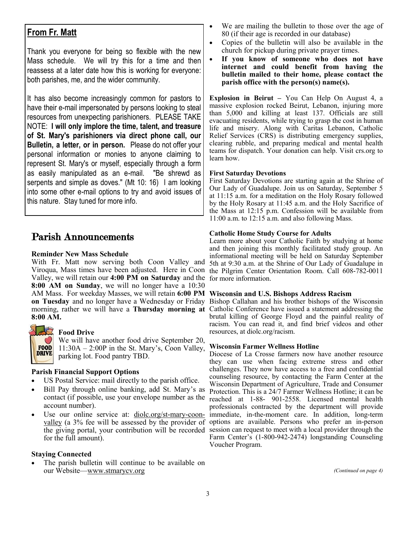### **From Fr. Matt**

Thank you everyone for being so flexible with the new Mass schedule. We will try this for a time and then reassess at a later date how this is working for everyone: both parishes, me, and the wider community.

It has also become increasingly common for pastors to have their e-mail impersonated by persons looking to steal resources from unexpecting parishioners. PLEASE TAKE NOTE: **I will only implore the time, talent, and treasure of St. Mary's parishioners via direct phone call, our Bulletin, a letter, or in person.** Please do not offer your personal information or monies to anyone claiming to represent St. Mary's or myself, especially through a form as easily manipulated as an e-mail. "Be shrewd as serpents and simple as doves." (Mt 10: 16) I am looking into some other e-mail options to try and avoid issues of this nature. Stay tuned for more info.

### Parish Announcements

### **Reminder New Mass Schedule**

With Fr. Matt now serving both Coon Valley and Valley, we will retain our **4:00 PM on Saturday** and the for more information. **8:00 AM on Sunday**, we will no longer have a 10:30 AM Mass. For weekday Masses, we will retain **6:00 PM Wisconsin and U.S. Bishops Address Racism on Tuesday** and no longer have a Wednesday or Friday Bishop Callahan and his brother bishops of the Wisconsin morning, rather we will have a **Thursday morning at**  Catholic Conference have issued a statement addressing the **8:00 AM.**



#### **Food Drive**

We will have another food drive September 20,  $11:30A - 2:00P$  in the St. Mary's, Coon Valley, parking lot. Food pantry TBD.

### **Parish Financial Support Options**

- US Postal Service: mail directly to the parish office.
- Bill Pay through online banking, add St. Mary's as contact (if possible, use your envelope number as the account number).
- Use our online service at: [diolc.org/st-mary-coon](http://www.diolc.org/st-mary-coon-valley)[valley](http://www.diolc.org/st-mary-coon-valley) (a 3% fee will be assessed by the provider of for the full amount).

#### **Staying Connected**

The parish bulletin will continue to be available on our Website—[www.stmarycv.org](http://www.stmarycv.org) 

- We are mailing the bulletin to those over the age of 80 (if their age is recorded in our database)
- Copies of the bulletin will also be available in the church for pickup during private prayer times.
- **If you know of someone who does not have internet and could benefit from having the bulletin mailed to their home, please contact the parish office with the person(s) name(s).**

**Explosion in Beirut –** You Can Help On August 4, a massive explosion rocked Beirut, Lebanon, injuring more than 5,000 and killing at least 137. Officials are still evacuating residents, while trying to grasp the cost in human life and misery. Along with Caritas Lebanon, Catholic Relief Services (CRS) is distributing emergency supplies, clearing rubble, and preparing medical and mental health teams for dispatch. Your donation can help. Visit crs.org to learn how.

#### **First Saturday Devotions**

First Saturday Devotions are starting again at the Shrine of Our Lady of Guadalupe. Join us on Saturday, September 5 at 11:15 a.m. for a meditation on the Holy Rosary followed by the Holy Rosary at 11:45 a.m. and the Holy Sacrifice of the Mass at 12:15 p.m. Confession will be available from 11:00 a.m. to 12:15 a.m. and also following Mass.

#### **Catholic Home Study Course for Adults**

Viroqua, Mass times have been adjusted. Here in Coon the Pilgrim Center Orientation Room. Call 608-782-0011 Learn more about your Catholic Faith by studying at home and then joining this monthly facilitated study group. An informational meeting will be held on Saturday September 5th at 9:30 a.m. at the Shrine of Our Lady of Guadalupe in

brutal killing of George Floyd and the painful reality of racism. You can read it, and find brief videos and other resources, at diolc.org/racism.

#### **Wisconsin Farmer Wellness Hotline**

the giving portal, your contribution will be recorded session can request to meet with a local provider through the Diocese of La Crosse farmers now have another resource they can use when facing extreme stress and other challenges. They now have access to a free and confidential counseling resource, by contacting the Farm Center at the Wisconsin Department of Agriculture, Trade and Consumer Protection. This is a 24/7 Farmer Wellness Hotline; it can be reached at 1-88- 901-2558. Licensed mental health professionals contracted by the department will provide immediate, in-the-moment care. In addition, long-term options are available. Persons who prefer an in-person Farm Center's (1-800-942-2474) longstanding Counseling Voucher Program.

*(Continued on page 4)*